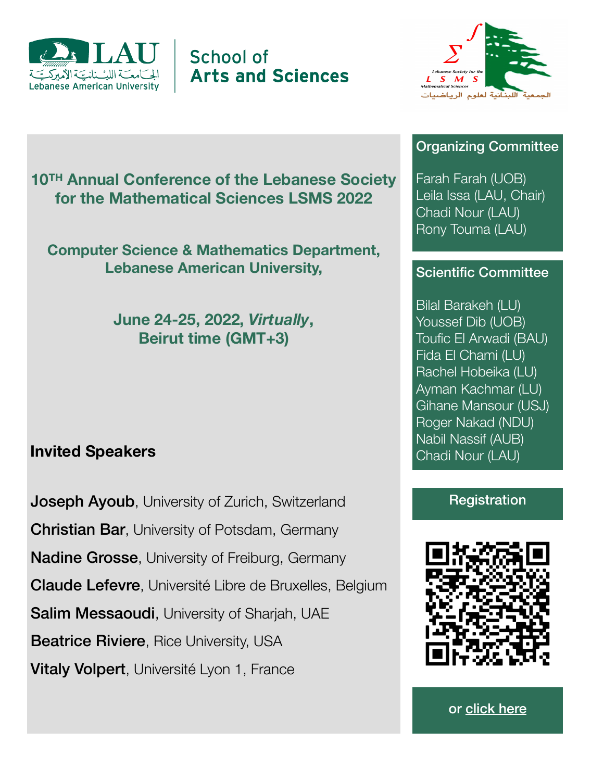

School of **Arts and Sciences** 



#### Organizing Committee

Farah Farah (UOB) Leila Issa (LAU, Chair)

**10TH Annual Conference of the Lebanese Society for the Mathematical Sciences LSMS 2022** 

**Computer Science & Mathematics Department, Lebanese American University,** 

> **June 24-25, 2022,** *Virtually***, Beirut time (GMT+3)**

## **Invited Speakers**

**Joseph Ayoub, University of Zurich, Switzerland Christian Bar, University of Potsdam, Germany Nadine Grosse, University of Freiburg, Germany** Claude Lefevre, Université Libre de Bruxelles, Belgium Salim Messaoudi, University of Shariah, UAE **Beatrice Riviere, Rice University, USA** Vitaly Volpert, Université Lyon 1, France

# Chadi Nour (LAU) Rony Touma (LAU)

## Scientific Committee

Bilal Barakeh (LU) Youssef Dib (UOB) Toufic El Arwadi (BAU) Fida El Chami (LU) Rachel Hobeika (LU) Ayman Kachmar (LU) Gihane Mansour (USJ) Roger Nakad (NDU) Nabil Nassif (AUB) Chadi Nour (LAU)

### **Registration**



or [click here](https://lau.webex.com/lau/onstage/g.php?PRID=6df30cc97bcb548dbb6348919f3f989c)